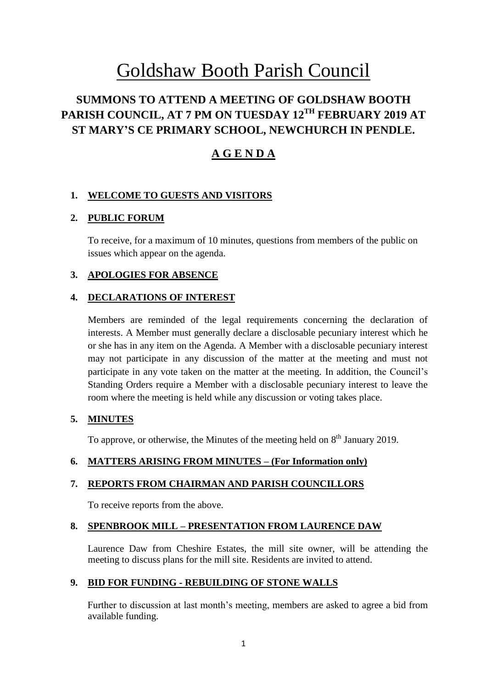# Goldshaw Booth Parish Council

# **SUMMONS TO ATTEND A MEETING OF GOLDSHAW BOOTH PARISH COUNCIL, AT 7 PM ON TUESDAY 12TH FEBRUARY 2019 AT ST MARY'S CE PRIMARY SCHOOL, NEWCHURCH IN PENDLE.**

# **A G E N D A**

# **1. WELCOME TO GUESTS AND VISITORS**

# **2. PUBLIC FORUM**

To receive, for a maximum of 10 minutes, questions from members of the public on issues which appear on the agenda.

# **3. APOLOGIES FOR ABSENCE**

# **4. DECLARATIONS OF INTEREST**

Members are reminded of the legal requirements concerning the declaration of interests. A Member must generally declare a disclosable pecuniary interest which he or she has in any item on the Agenda. A Member with a disclosable pecuniary interest may not participate in any discussion of the matter at the meeting and must not participate in any vote taken on the matter at the meeting. In addition, the Council's Standing Orders require a Member with a disclosable pecuniary interest to leave the room where the meeting is held while any discussion or voting takes place.

# **5. MINUTES**

To approve, or otherwise, the Minutes of the meeting held on  $8<sup>th</sup>$  January 2019.

# **6. MATTERS ARISING FROM MINUTES – (For Information only)**

# **7. REPORTS FROM CHAIRMAN AND PARISH COUNCILLORS**

To receive reports from the above.

# **8. SPENBROOK MILL – PRESENTATION FROM LAURENCE DAW**

Laurence Daw from Cheshire Estates, the mill site owner, will be attending the meeting to discuss plans for the mill site. Residents are invited to attend.

# **9. BID FOR FUNDING - REBUILDING OF STONE WALLS**

Further to discussion at last month's meeting, members are asked to agree a bid from available funding.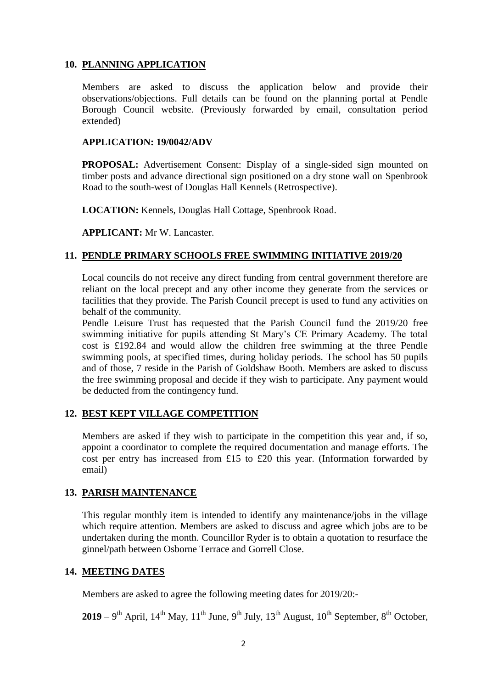# **10. PLANNING APPLICATION**

Members are asked to discuss the application below and provide their observations/objections. Full details can be found on the planning portal at Pendle Borough Council website. (Previously forwarded by email, consultation period extended)

#### **APPLICATION: 19/0042/ADV**

**PROPOSAL:** Advertisement Consent: Display of a single-sided sign mounted on timber posts and advance directional sign positioned on a dry stone wall on Spenbrook Road to the south-west of Douglas Hall Kennels (Retrospective).

**LOCATION:** Kennels, Douglas Hall Cottage, Spenbrook Road.

**APPLICANT:** Mr W. Lancaster.

# **11. PENDLE PRIMARY SCHOOLS FREE SWIMMING INITIATIVE 2019/20**

Local councils do not receive any direct funding from central government therefore are reliant on the local precept and any other income they generate from the services or facilities that they provide. The Parish Council precept is used to fund any activities on behalf of the community.

Pendle Leisure Trust has requested that the Parish Council fund the 2019/20 free swimming initiative for pupils attending St Mary's CE Primary Academy. The total cost is £192.84 and would allow the children free swimming at the three Pendle swimming pools, at specified times, during holiday periods. The school has 50 pupils and of those, 7 reside in the Parish of Goldshaw Booth. Members are asked to discuss the free swimming proposal and decide if they wish to participate. Any payment would be deducted from the contingency fund.

# **12. BEST KEPT VILLAGE COMPETITION**

Members are asked if they wish to participate in the competition this year and, if so, appoint a coordinator to complete the required documentation and manage efforts. The cost per entry has increased from £15 to £20 this year. (Information forwarded by email)

# **13. PARISH MAINTENANCE**

This regular monthly item is intended to identify any maintenance/jobs in the village which require attention. Members are asked to discuss and agree which jobs are to be undertaken during the month. Councillor Ryder is to obtain a quotation to resurface the ginnel/path between Osborne Terrace and Gorrell Close.

# **14. MEETING DATES**

Members are asked to agree the following meeting dates for 2019/20:-

**2019** – 9<sup>th</sup> April, 14<sup>th</sup> May, 11<sup>th</sup> June, 9<sup>th</sup> July, 13<sup>th</sup> August, 10<sup>th</sup> September, 8<sup>th</sup> October,